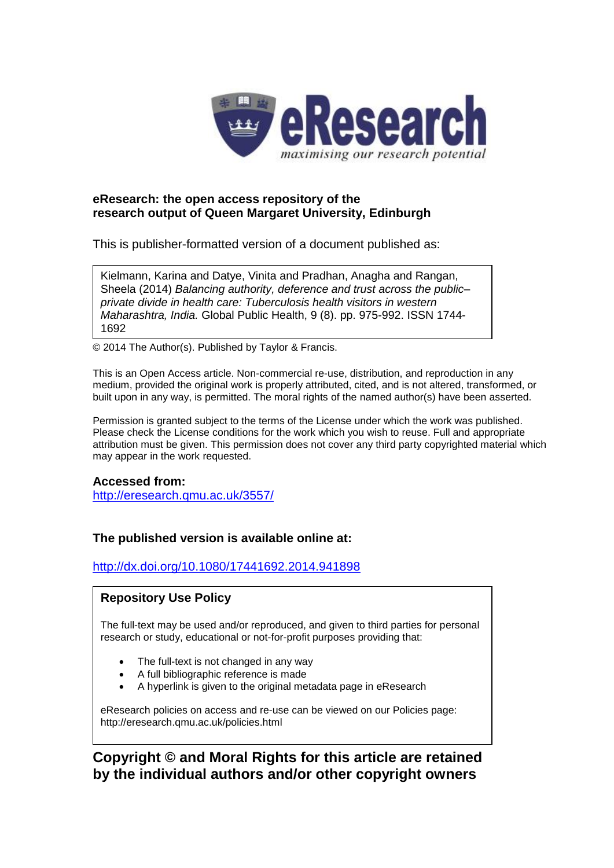

# **eResearch: the open access repository of the research output of Queen Margaret University, Edinburgh**

This is publisher-formatted version of a document published as:

Kielmann, Karina and Datye, Vinita and Pradhan, Anagha and Rangan, Sheela (2014) *Balancing authority, deference and trust across the public– private divide in health care: Tuberculosis health visitors in western Maharashtra, India.* Global Public Health, 9 (8). pp. 975-992. ISSN 1744- 1692

© 2014 The Author(s). Published by Taylor & Francis.

This is an Open Access article. Non-commercial re-use, distribution, and reproduction in any medium, provided the original work is properly attributed, cited, and is not altered, transformed, or built upon in any way, is permitted. The moral rights of the named author(s) have been asserted.

Permission is granted subject to the terms of the License under which the work was published. Please check the License conditions for the work which you wish to reuse. Full and appropriate attribution must be given. This permission does not cover any third party copyrighted material which may appear in the work requested.

# **Accessed from:**

<http://eresearch.qmu.ac.uk/3557/>

# **The published version is available online at:**

<http://dx.doi.org/10.1080/17441692.2014.941898>

# **Repository Use Policy**

The full-text may be used and/or reproduced, and given to third parties for personal research or study, educational or not-for-profit purposes providing that:

- The full-text is not changed in any way
- A full bibliographic reference is made
- A hyperlink is given to the original metadata page in eResearch

eResearch policies on access and re-use can be viewed on our Policies page: <http://eresearch.qmu.ac.uk/policies.html>

**Copyright © and Moral Rights for this article are retained by the individual authors and/or other copyright owners**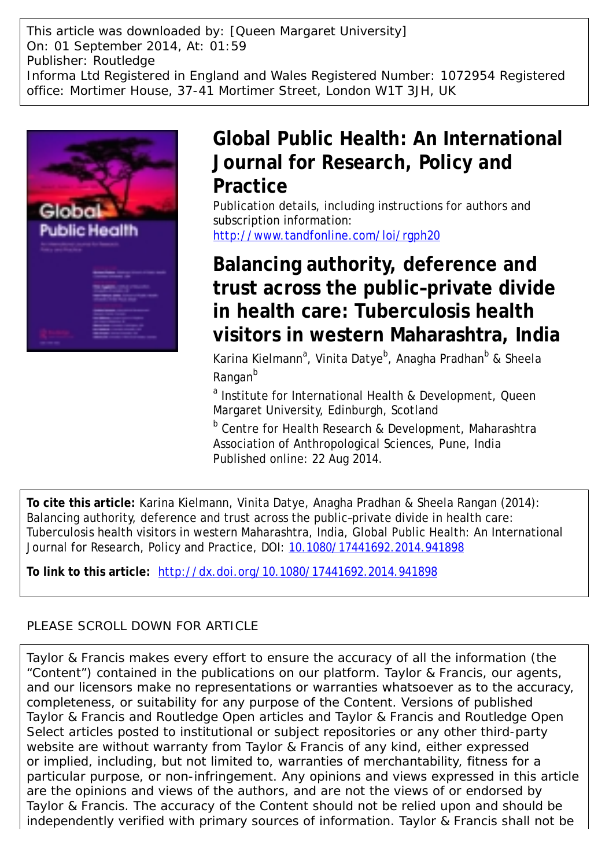This article was downloaded by: [Queen Margaret University] On: 01 September 2014, At: 01:59 Publisher: Routledge Informa Ltd Registered in England and Wales Registered Number: 1072954 Registered office: Mortimer House, 37-41 Mortimer Street, London W1T 3JH, UK



# **Global Public Health: An International Journal for Research, Policy and Practice**

Publication details, including instructions for authors and subscription information: <http://www.tandfonline.com/loi/rgph20>

# **Balancing authority, deference and trust across the public–private divide in health care: Tuberculosis health visitors in western Maharashtra, India**

Karina Kielmann<sup>a</sup>, Vinita Datye<sup>b</sup>, Anagha Pradhan<sup>b</sup> & Sheela Rangan<sup>b</sup>

<sup>a</sup> Institute for International Health & Development, Queen Margaret University, Edinburgh, Scotland

**b** Centre for Health Research & Development, Maharashtra Association of Anthropological Sciences, Pune, India Published online: 22 Aug 2014.

**To cite this article:** Karina Kielmann, Vinita Datye, Anagha Pradhan & Sheela Rangan (2014): Balancing authority, deference and trust across the public–private divide in health care: Tuberculosis health visitors in western Maharashtra, India, Global Public Health: An International Journal for Research, Policy and Practice, DOI: [10.1080/17441692.2014.941898](http://www.tandfonline.com/action/showCitFormats?doi=10.1080/17441692.2014.941898)

**To link to this article:** <http://dx.doi.org/10.1080/17441692.2014.941898>

# PI FASE SCROLL DOWN FOR ARTICLE

Taylor & Francis makes every effort to ensure the accuracy of all the information (the "Content") contained in the publications on our platform. Taylor & Francis, our agents, and our licensors make no representations or warranties whatsoever as to the accuracy, completeness, or suitability for any purpose of the Content. Versions of published Taylor & Francis and Routledge Open articles and Taylor & Francis and Routledge Open Select articles posted to institutional or subject repositories or any other third-party website are without warranty from Taylor & Francis of any kind, either expressed or implied, including, but not limited to, warranties of merchantability, fitness for a particular purpose, or non-infringement. Any opinions and views expressed in this article are the opinions and views of the authors, and are not the views of or endorsed by Taylor & Francis. The accuracy of the Content should not be relied upon and should be independently verified with primary sources of information. Taylor & Francis shall not be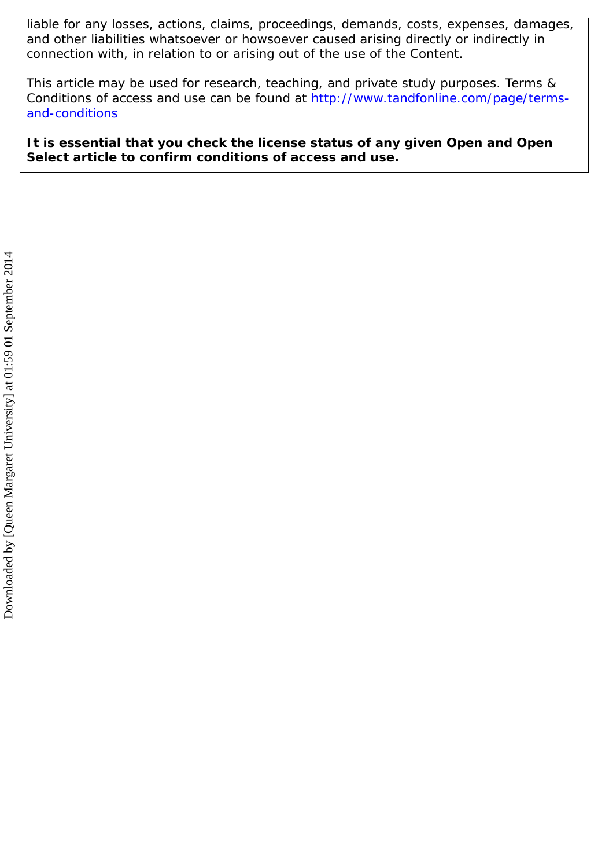liable for any losses, actions, claims, proceedings, demands, costs, expenses, damages, and other liabilities whatsoever or howsoever caused arising directly or indirectly in connection with, in relation to or arising out of the use of the Content.

This article may be used for research, teaching, and private study purposes. Terms & Conditions of access and use can be found at [http://www.tandfonline.com/page/terms](http://www.tandfonline.com/page/terms-and-conditions)[and-conditions](http://www.tandfonline.com/page/terms-and-conditions)

**It is essential that you check the license status of any given Open and Open Select article to confirm conditions of access and use.**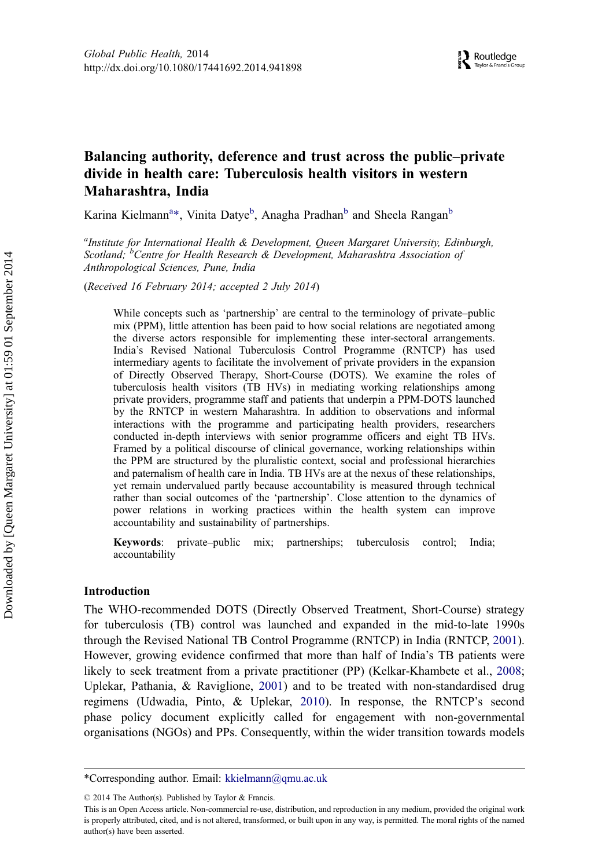# Balancing authority, deference and trust across the public–private divide in health care: Tuberculosis health visitors in western Maharashtra, India

Karina Kielmann<sup>a</sup>\*, Vinita Datye<sup>b</sup>, Anagha Pradhan<sup>b</sup> and Sheela Rangan<sup>b</sup>

<sup>a</sup>Institute for International Health & Development, Queen Margaret University, Edinburgh, Scotland; <sup>b</sup>Centre for Health Research & Development, Maharashtra Association of Anthropological Sciences, Pune, India

(Received 16 February 2014; accepted 2 July 2014)

While concepts such as 'partnership' are central to the terminology of private–public mix (PPM), little attention has been paid to how social relations are negotiated among the diverse actors responsible for implementing these inter-sectoral arrangements. India's Revised National Tuberculosis Control Programme (RNTCP) has used intermediary agents to facilitate the involvement of private providers in the expansion of Directly Observed Therapy, Short-Course (DOTS). We examine the roles of tuberculosis health visitors (TB HVs) in mediating working relationships among private providers, programme staff and patients that underpin a PPM-DOTS launched by the RNTCP in western Maharashtra. In addition to observations and informal interactions with the programme and participating health providers, researchers conducted in-depth interviews with senior programme officers and eight TB HVs. Framed by a political discourse of clinical governance, working relationships within the PPM are structured by the pluralistic context, social and professional hierarchies and paternalism of health care in India. TB HVs are at the nexus of these relationships, yet remain undervalued partly because accountability is measured through technical rather than social outcomes of the 'partnership'. Close attention to the dynamics of power relations in working practices within the health system can improve accountability and sustainability of partnerships.

Keywords: private–public mix; partnerships; tuberculosis control; India; accountability

## Introduction

The WHO-recommended DOTS (Directly Observed Treatment, Short-Course) strategy for tuberculosis (TB) control was launched and expanded in the mid-to-late 1990s through the Revised National TB Control Programme (RNTCP) in India (RNTCP, [2001](#page-20-0)). However, growing evidence confirmed that more than half of India's TB patients were likely to seek treatment from a private practitioner (PP) (Kelkar-Khambete et al., [2008](#page-19-0); Uplekar, Pathania, & Raviglione, [2001\)](#page-20-0) and to be treated with non-standardised drug regimens (Udwadia, Pinto, & Uplekar, [2010](#page-20-0)). In response, the RNTCP's second phase policy document explicitly called for engagement with non-governmental organisations (NGOs) and PPs. Consequently, within the wider transition towards models

<sup>\*</sup>Corresponding author. Email: [kkielmann@qmu.ac.uk](mailto:kkielmann@qmu.ac.uk)

<sup>© 2014</sup> The Author(s). Published by Taylor & Francis.

This is an Open Access article. Non-commercial re-use, distribution, and reproduction in any medium, provided the original work is properly attributed, cited, and is not altered, transformed, or built upon in any way, is permitted. The moral rights of the named author(s) have been asserted.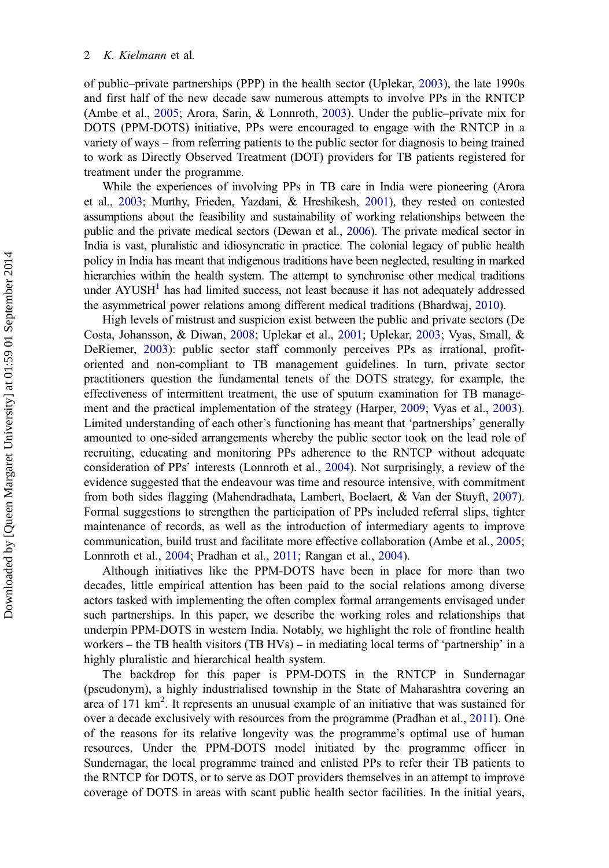of public–private partnerships (PPP) in the health sector (Uplekar, [2003](#page-20-0)), the late 1990s and first half of the new decade saw numerous attempts to involve PPs in the RNTCP (Ambe et al., [2005](#page-18-0); Arora, Sarin, & Lonnroth, [2003](#page-18-0)). Under the public–private mix for DOTS (PPM-DOTS) initiative, PPs were encouraged to engage with the RNTCP in a variety of ways – from referring patients to the public sector for diagnosis to being trained to work as Directly Observed Treatment (DOT) providers for TB patients registered for treatment under the programme.

While the experiences of involving PPs in TB care in India were pioneering (Arora et al., [2003](#page-18-0); Murthy, Frieden, Yazdani, & Hreshikesh, [2001](#page-20-0)), they rested on contested assumptions about the feasibility and sustainability of working relationships between the public and the private medical sectors (Dewan et al., [2006](#page-19-0)). The private medical sector in India is vast, pluralistic and idiosyncratic in practice. The colonial legacy of public health policy in India has meant that indigenous traditions have been neglected, resulting in marked hierarchies within the health system. The attempt to synchronise other medical traditions under  $AYUSH<sup>1</sup>$  has had limited success, not least because it has not adequately addressed the asymmetrical power relations among different medical traditions (Bhardwaj, [2010\)](#page-18-0).

High levels of mistrust and suspicion exist between the public and private sectors (De Costa, Johansson, & Diwan, [2008;](#page-18-0) Uplekar et al., [2001;](#page-20-0) Uplekar, [2003](#page-20-0); Vyas, Small, & DeRiemer, [2003](#page-20-0)): public sector staff commonly perceives PPs as irrational, profitoriented and non-compliant to TB management guidelines. In turn, private sector practitioners question the fundamental tenets of the DOTS strategy, for example, the effectiveness of intermittent treatment, the use of sputum examination for TB management and the practical implementation of the strategy (Harper, [2009;](#page-19-0) Vyas et al., [2003](#page-20-0)). Limited understanding of each other's functioning has meant that 'partnerships' generally amounted to one-sided arrangements whereby the public sector took on the lead role of recruiting, educating and monitoring PPs adherence to the RNTCP without adequate consideration of PPs' interests (Lonnroth et al., [2004\)](#page-19-0). Not surprisingly, a review of the evidence suggested that the endeavour was time and resource intensive, with commitment from both sides flagging (Mahendradhata, Lambert, Boelaert, & Van der Stuyft, [2007](#page-19-0)). Formal suggestions to strengthen the participation of PPs included referral slips, tighter maintenance of records, as well as the introduction of intermediary agents to improve communication, build trust and facilitate more effective collaboration (Ambe et al., [2005](#page-18-0); Lonnroth et al., [2004;](#page-19-0) Pradhan et al., [2011](#page-20-0); Rangan et al., [2004\)](#page-20-0).

Although initiatives like the PPM-DOTS have been in place for more than two decades, little empirical attention has been paid to the social relations among diverse actors tasked with implementing the often complex formal arrangements envisaged under such partnerships. In this paper, we describe the working roles and relationships that underpin PPM-DOTS in western India. Notably, we highlight the role of frontline health workers – the TB health visitors (TB HVs) – in mediating local terms of 'partnership' in a highly pluralistic and hierarchical health system.

The backdrop for this paper is PPM-DOTS in the RNTCP in Sundernagar (pseudonym), a highly industrialised township in the State of Maharashtra covering an area of 171 km<sup>2</sup>. It represents an unusual example of an initiative that was sustained for over a decade exclusively with resources from the programme (Pradhan et al., [2011](#page-20-0)). One of the reasons for its relative longevity was the programme's optimal use of human resources. Under the PPM-DOTS model initiated by the programme officer in Sundernagar, the local programme trained and enlisted PPs to refer their TB patients to the RNTCP for DOTS, or to serve as DOT providers themselves in an attempt to improve coverage of DOTS in areas with scant public health sector facilities. In the initial years,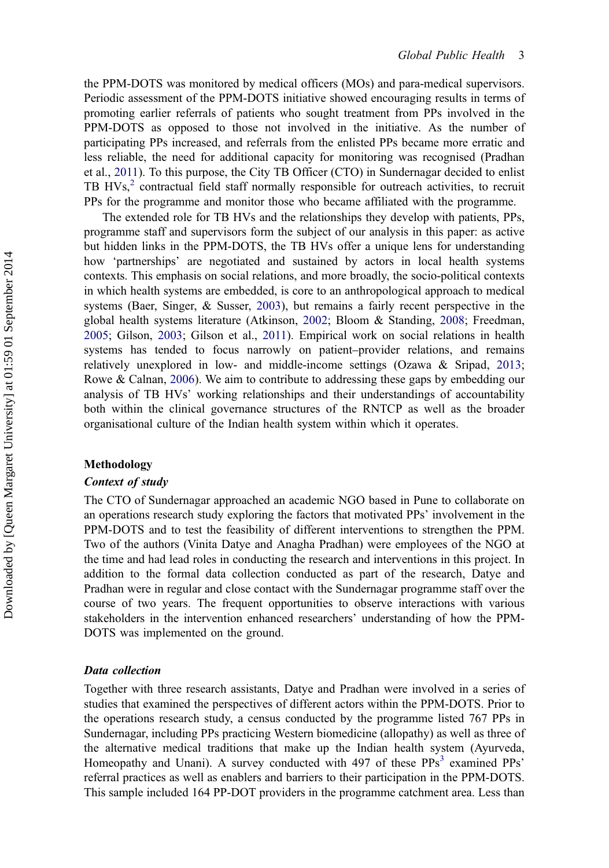the PPM-DOTS was monitored by medical officers (MOs) and para-medical supervisors. Periodic assessment of the PPM-DOTS initiative showed encouraging results in terms of promoting earlier referrals of patients who sought treatment from PPs involved in the PPM-DOTS as opposed to those not involved in the initiative. As the number of participating PPs increased, and referrals from the enlisted PPs became more erratic and less reliable, the need for additional capacity for monitoring was recognised (Pradhan et al., [2011](#page-20-0)). To this purpose, the City TB Officer (CTO) in Sundernagar decided to enlist TB  $HVs<sub>2</sub><sup>2</sup>$  $HVs<sub>2</sub><sup>2</sup>$  $HVs<sub>2</sub><sup>2</sup>$  contractual field staff normally responsible for outreach activities, to recruit PPs for the programme and monitor those who became affiliated with the programme.

The extended role for TB HVs and the relationships they develop with patients, PPs, programme staff and supervisors form the subject of our analysis in this paper: as active but hidden links in the PPM-DOTS, the TB HVs offer a unique lens for understanding how 'partnerships' are negotiated and sustained by actors in local health systems contexts. This emphasis on social relations, and more broadly, the socio-political contexts in which health systems are embedded, is core to an anthropological approach to medical systems (Baer, Singer, & Susser, [2003\)](#page-18-0), but remains a fairly recent perspective in the global health systems literature (Atkinson, [2002](#page-18-0); Bloom & Standing, [2008](#page-18-0); Freedman, [2005;](#page-19-0) Gilson, [2003;](#page-19-0) Gilson et al., [2011](#page-19-0)). Empirical work on social relations in health systems has tended to focus narrowly on patient–provider relations, and remains relatively unexplored in low- and middle-income settings (Ozawa & Sripad, [2013](#page-20-0); Rowe & Calnan, [2006\)](#page-20-0). We aim to contribute to addressing these gaps by embedding our analysis of TB HVs' working relationships and their understandings of accountability both within the clinical governance structures of the RNTCP as well as the broader organisational culture of the Indian health system within which it operates.

#### Methodology

## Context of study

The CTO of Sundernagar approached an academic NGO based in Pune to collaborate on an operations research study exploring the factors that motivated PPs' involvement in the PPM-DOTS and to test the feasibility of different interventions to strengthen the PPM. Two of the authors (Vinita Datye and Anagha Pradhan) were employees of the NGO at the time and had lead roles in conducting the research and interventions in this project. In addition to the formal data collection conducted as part of the research, Datye and Pradhan were in regular and close contact with the Sundernagar programme staff over the course of two years. The frequent opportunities to observe interactions with various stakeholders in the intervention enhanced researchers' understanding of how the PPM-DOTS was implemented on the ground.

#### Data collection

Together with three research assistants, Datye and Pradhan were involved in a series of studies that examined the perspectives of different actors within the PPM-DOTS. Prior to the operations research study, a census conducted by the programme listed 767 PPs in Sundernagar, including PPs practicing Western biomedicine (allopathy) as well as three of the alternative medical traditions that make up the Indian health system (Ayurveda, Homeopathy and Unani). A survey conducted with  $497$  of these  $PPs<sup>3</sup>$  $PPs<sup>3</sup>$  $PPs<sup>3</sup>$  examined  $PPs<sup>3</sup>$ referral practices as well as enablers and barriers to their participation in the PPM-DOTS. This sample included 164 PP-DOT providers in the programme catchment area. Less than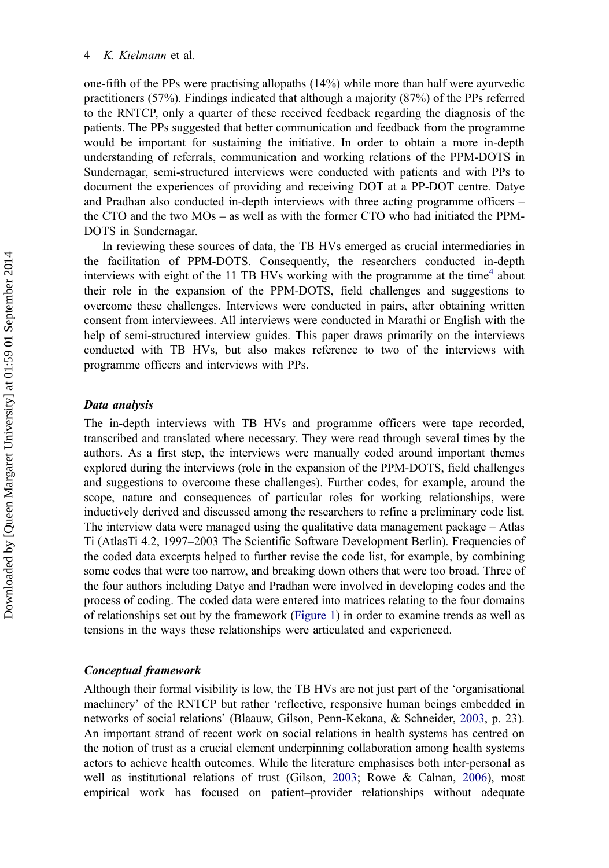#### K. Kielmann et al.

one-fifth of the PPs were practising allopaths (14%) while more than half were ayurvedic practitioners (57%). Findings indicated that although a majority (87%) of the PPs referred to the RNTCP, only a quarter of these received feedback regarding the diagnosis of the patients. The PPs suggested that better communication and feedback from the programme would be important for sustaining the initiative. In order to obtain a more in-depth understanding of referrals, communication and working relations of the PPM-DOTS in Sundernagar, semi-structured interviews were conducted with patients and with PPs to document the experiences of providing and receiving DOT at a PP-DOT centre. Datye and Pradhan also conducted in-depth interviews with three acting programme officers – the CTO and the two MOs – as well as with the former CTO who had initiated the PPM-DOTS in Sundernagar.

In reviewing these sources of data, the TB HVs emerged as crucial intermediaries in the facilitation of PPM-DOTS. Consequently, the researchers conducted in-depth interviews with eight of the 11 TB HVs working with the programme at the time<sup>[4](#page-18-0)</sup> about their role in the expansion of the PPM-DOTS, field challenges and suggestions to overcome these challenges. Interviews were conducted in pairs, after obtaining written consent from interviewees. All interviews were conducted in Marathi or English with the help of semi-structured interview guides. This paper draws primarily on the interviews conducted with TB HVs, but also makes reference to two of the interviews with programme officers and interviews with PPs.

#### Data analysis

The in-depth interviews with TB HVs and programme officers were tape recorded, transcribed and translated where necessary. They were read through several times by the authors. As a first step, the interviews were manually coded around important themes explored during the interviews (role in the expansion of the PPM-DOTS, field challenges and suggestions to overcome these challenges). Further codes, for example, around the scope, nature and consequences of particular roles for working relationships, were inductively derived and discussed among the researchers to refine a preliminary code list. The interview data were managed using the qualitative data management package – Atlas Ti (AtlasTi 4.2, 1997–2003 The Scientific Software Development Berlin). Frequencies of the coded data excerpts helped to further revise the code list, for example, by combining some codes that were too narrow, and breaking down others that were too broad. Three of the four authors including Datye and Pradhan were involved in developing codes and the process of coding. The coded data were entered into matrices relating to the four domains of relationships set out by the framework ([Figure 1](#page-7-0)) in order to examine trends as well as tensions in the ways these relationships were articulated and experienced.

# Conceptual framework

Although their formal visibility is low, the TB HVs are not just part of the 'organisational machinery' of the RNTCP but rather 'reflective, responsive human beings embedded in networks of social relations' (Blaauw, Gilson, Penn-Kekana, & Schneider, [2003,](#page-18-0) p. 23). An important strand of recent work on social relations in health systems has centred on the notion of trust as a crucial element underpinning collaboration among health systems actors to achieve health outcomes. While the literature emphasises both inter-personal as well as institutional relations of trust (Gilson, [2003](#page-19-0); Rowe & Calnan, [2006\)](#page-20-0), most empirical work has focused on patient–provider relationships without adequate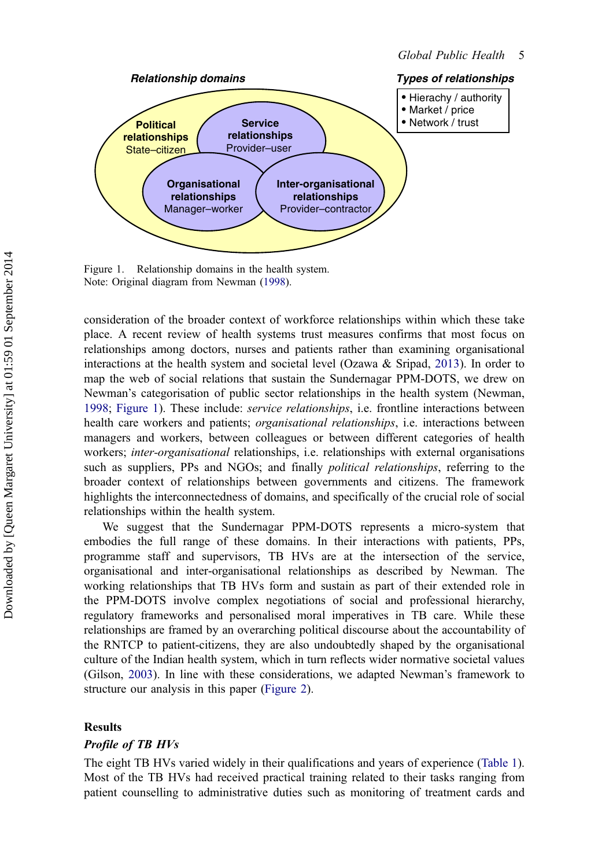<span id="page-7-0"></span>

Figure 1. Relationship domains in the health system. Note: Original diagram from Newman [\(1998](#page-20-0)).

consideration of the broader context of workforce relationships within which these take place. A recent review of health systems trust measures confirms that most focus on relationships among doctors, nurses and patients rather than examining organisational interactions at the health system and societal level (Ozawa & Sripad, [2013](#page-20-0)). In order to map the web of social relations that sustain the Sundernagar PPM-DOTS, we drew on Newman's categorisation of public sector relationships in the health system (Newman, [1998;](#page-20-0) Figure 1). These include: *service relationships*, i.e. frontline interactions between health care workers and patients; *organisational relationships*, *i.e.* interactions between managers and workers, between colleagues or between different categories of health workers; *inter-organisational* relationships, *i.e.* relationships with external organisations such as suppliers, PPs and NGOs; and finally *political relationships*, referring to the broader context of relationships between governments and citizens. The framework highlights the interconnectedness of domains, and specifically of the crucial role of social relationships within the health system.

We suggest that the Sundernagar PPM-DOTS represents a micro-system that embodies the full range of these domains. In their interactions with patients, PPs, programme staff and supervisors, TB HVs are at the intersection of the service, organisational and inter-organisational relationships as described by Newman. The working relationships that TB HVs form and sustain as part of their extended role in the PPM-DOTS involve complex negotiations of social and professional hierarchy, regulatory frameworks and personalised moral imperatives in TB care. While these relationships are framed by an overarching political discourse about the accountability of the RNTCP to patient-citizens, they are also undoubtedly shaped by the organisational culture of the Indian health system, which in turn reflects wider normative societal values (Gilson, [2003](#page-19-0)). In line with these considerations, we adapted Newman's framework to structure our analysis in this paper [\(Figure 2\)](#page-8-0).

## **Results**

## Profile of TB HVs

The eight TB HVs varied widely in their qualifications and years of experience ([Table 1](#page-9-0)). Most of the TB HVs had received practical training related to their tasks ranging from patient counselling to administrative duties such as monitoring of treatment cards and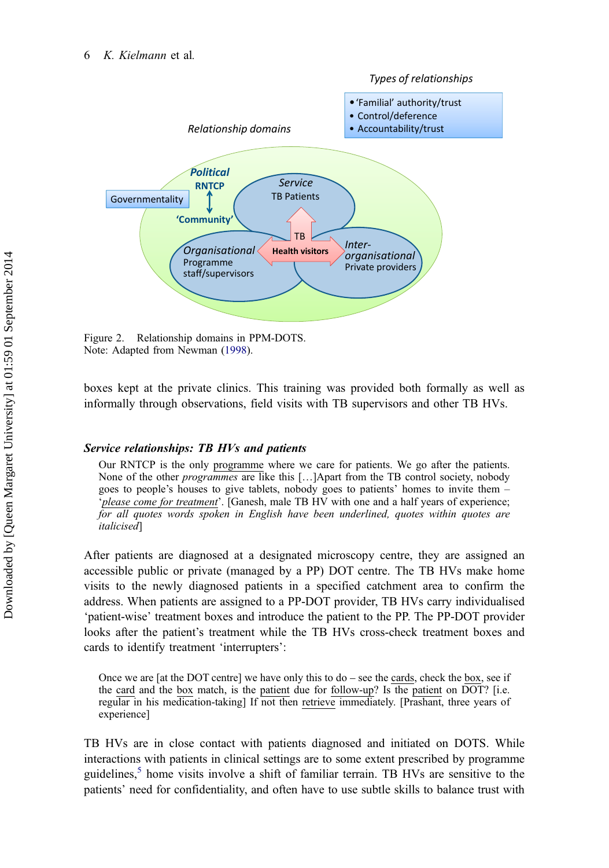<span id="page-8-0"></span>

Figure 2. Relationship domains in PPM-DOTS. Note: Adapted from Newman [\(1998\)](#page-20-0).

boxes kept at the private clinics. This training was provided both formally as well as informally through observations, field visits with TB supervisors and other TB HVs.

# Service relationships: TB HVs and patients

Our RNTCP is the only programme where we care for patients. We go after the patients. None of the other *programmes* are like this [...]Apart from the TB control society, nobody goes to people's houses to give tablets, nobody goes to patients' homes to invite them – 'please come for treatment'. [Ganesh, male TB HV with one and a half years of experience; for all quotes words spoken in English have been underlined, quotes within quotes are italicised]

After patients are diagnosed at a designated microscopy centre, they are assigned an accessible public or private (managed by a PP) DOT centre. The TB HVs make home visits to the newly diagnosed patients in a specified catchment area to confirm the address. When patients are assigned to a PP-DOT provider, TB HVs carry individualised 'patient-wise' treatment boxes and introduce the patient to the PP. The PP-DOT provider looks after the patient's treatment while the TB HVs cross-check treatment boxes and cards to identify treatment 'interrupters':

Once we are [at the DOT centre] we have only this to do – see the cards, check the box, see if the card and the box match, is the patient due for follow-up? Is the patient on DOT? [i.e. regular in his medication-taking] If not then retrieve immediately. [Prashant, three years of experience]

TB HVs are in close contact with patients diagnosed and initiated on DOTS. While interactions with patients in clinical settings are to some extent prescribed by programme guidelines, $5$  home visits involve a shift of familiar terrain. TB HVs are sensitive to the patients' need for confidentiality, and often have to use subtle skills to balance trust with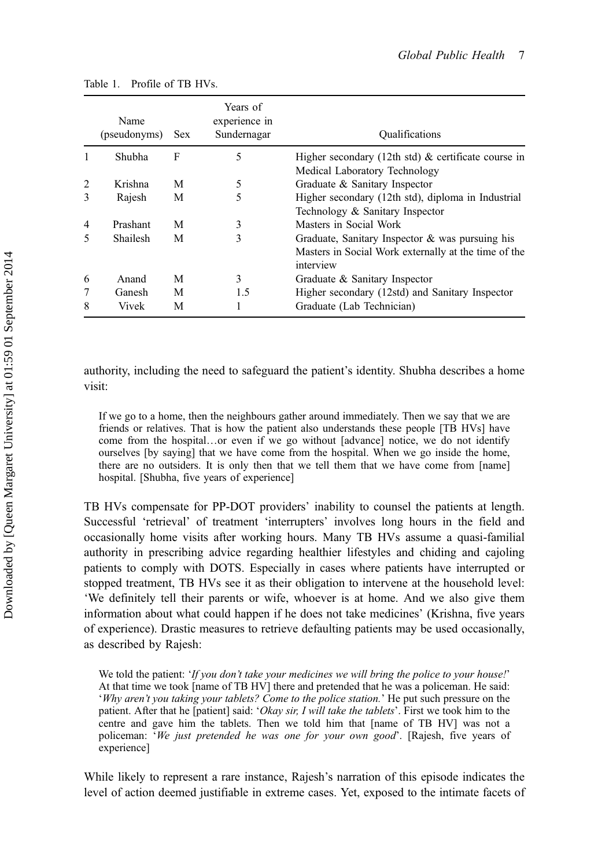|                | Name<br>(pseudonyms) | <b>Sex</b> | Years of<br>experience in<br>Sundernagar | <b>Oualifications</b>                                                                                                |
|----------------|----------------------|------------|------------------------------------------|----------------------------------------------------------------------------------------------------------------------|
|                | Shubha               | F          | 5                                        | Higher secondary (12th std) $\&$ certificate course in                                                               |
|                | Krishna              | M          | 5                                        | Medical Laboratory Technology<br>Graduate & Sanitary Inspector                                                       |
| 3              | Rajesh               | M          | 5                                        | Higher secondary (12th std), diploma in Industrial                                                                   |
|                |                      |            |                                          | Technology & Sanitary Inspector                                                                                      |
| $\overline{4}$ | Prashant             | M          | 3                                        | Masters in Social Work                                                                                               |
| 5              | <b>Shailesh</b>      | M          | 3                                        | Graduate, Sanitary Inspector & was pursuing his<br>Masters in Social Work externally at the time of the<br>interview |
| 6              | Anand                | M          | 3                                        | Graduate & Sanitary Inspector                                                                                        |
| 7              | Ganesh               | M          | 1.5                                      | Higher secondary (12std) and Sanitary Inspector                                                                      |
| 8              | Vivek                | M          |                                          | Graduate (Lab Technician)                                                                                            |

<span id="page-9-0"></span>Table 1. Profile of TB HVs.

authority, including the need to safeguard the patient's identity. Shubha describes a home visit:

If we go to a home, then the neighbours gather around immediately. Then we say that we are friends or relatives. That is how the patient also understands these people [TB HVs] have come from the hospital…or even if we go without [advance] notice, we do not identify ourselves [by saying] that we have come from the hospital. When we go inside the home, there are no outsiders. It is only then that we tell them that we have come from [name] hospital. [Shubha, five years of experience]

TB HVs compensate for PP-DOT providers' inability to counsel the patients at length. Successful 'retrieval' of treatment 'interrupters' involves long hours in the field and occasionally home visits after working hours. Many TB HVs assume a quasi-familial authority in prescribing advice regarding healthier lifestyles and chiding and cajoling patients to comply with DOTS. Especially in cases where patients have interrupted or stopped treatment, TB HVs see it as their obligation to intervene at the household level: 'We definitely tell their parents or wife, whoever is at home. And we also give them information about what could happen if he does not take medicines' (Krishna, five years of experience). Drastic measures to retrieve defaulting patients may be used occasionally, as described by Rajesh:

We told the patient: 'If you don't take your medicines we will bring the police to your house!' At that time we took [name of TB HV] there and pretended that he was a policeman. He said: 'Why aren't you taking your tablets? Come to the police station.' He put such pressure on the patient. After that he [patient] said: 'Okay sir, I will take the tablets'. First we took him to the centre and gave him the tablets. Then we told him that [name of TB HV] was not a policeman: 'We just pretended he was one for your own good'. [Rajesh, five years of experience]

While likely to represent a rare instance, Rajesh's narration of this episode indicates the level of action deemed justifiable in extreme cases. Yet, exposed to the intimate facets of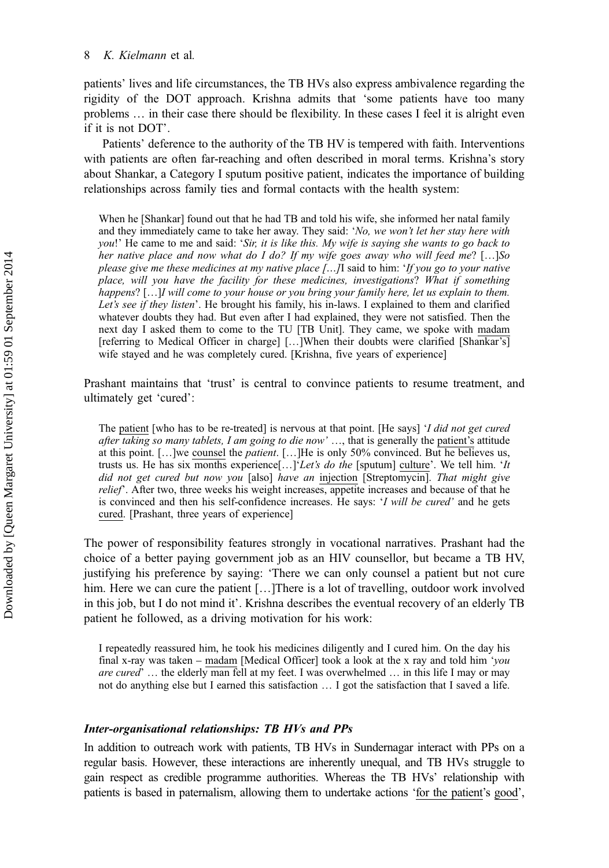patients' lives and life circumstances, the TB HVs also express ambivalence regarding the rigidity of the DOT approach. Krishna admits that 'some patients have too many problems … in their case there should be flexibility. In these cases I feel it is alright even if it is not DOT'.

Patients' deference to the authority of the TB HV is tempered with faith. Interventions with patients are often far-reaching and often described in moral terms. Krishna's story about Shankar, a Category I sputum positive patient, indicates the importance of building relationships across family ties and formal contacts with the health system:

When he [Shankar] found out that he had TB and told his wife, she informed her natal family and they immediately came to take her away. They said: 'No, we won't let her stay here with you!' He came to me and said: 'Sir, it is like this. My wife is saying she wants to go back to her native place and now what do I do? If my wife goes away who will feed me? [...]So please give me these medicines at my native place  $[\dots]$  said to him: 'If you go to your native place, will you have the facility for these medicines, investigations? What if something happens? [...]I will come to your house or you bring your family here, let us explain to them. Let's see if they listen'. He brought his family, his in-laws. I explained to them and clarified whatever doubts they had. But even after I had explained, they were not satisfied. Then the next day I asked them to come to the TU [TB Unit]. They came, we spoke with madam [referring to Medical Officer in charge] […]When their doubts were clarified [Shankar's] wife stayed and he was completely cured. [Krishna, five years of experience]

Prashant maintains that 'trust' is central to convince patients to resume treatment, and ultimately get 'cured':

The patient [who has to be re-treated] is nervous at that point. [He says] 'I did not get cured after taking so many tablets, I am going to die now'  $\ldots$ , that is generally the patient's attitude at this point. […]we counsel the patient. […]He is only 50% convinced. But he believes us, trusts us. He has six months experience[...] 'Let's do the [sputum] culture'. We tell him. 'It did not get cured but now you [also] have an injection [Streptomycin]. That might give relief'. After two, three weeks his weight increases, appetite increases and because of that he is convinced and then his self-confidence increases. He says: 'I will be cured' and he gets cured. [Prashant, three years of experience]

The power of responsibility features strongly in vocational narratives. Prashant had the choice of a better paying government job as an HIV counsellor, but became a TB HV, justifying his preference by saying: 'There we can only counsel a patient but not cure him. Here we can cure the patient [...] There is a lot of travelling, outdoor work involved in this job, but I do not mind it'. Krishna describes the eventual recovery of an elderly TB patient he followed, as a driving motivation for his work:

I repeatedly reassured him, he took his medicines diligently and I cured him. On the day his final x-ray was taken – madam [Medical Officer] took a look at the x ray and told him 'you are cured' ... the elderly man fell at my feet. I was overwhelmed ... in this life I may or may not do anything else but I earned this satisfaction … I got the satisfaction that I saved a life.

#### Inter-organisational relationships: TB HVs and PPs

In addition to outreach work with patients, TB HVs in Sundernagar interact with PPs on a regular basis. However, these interactions are inherently unequal, and TB HVs struggle to gain respect as credible programme authorities. Whereas the TB HVs' relationship with patients is based in paternalism, allowing them to undertake actions 'for the patient's good',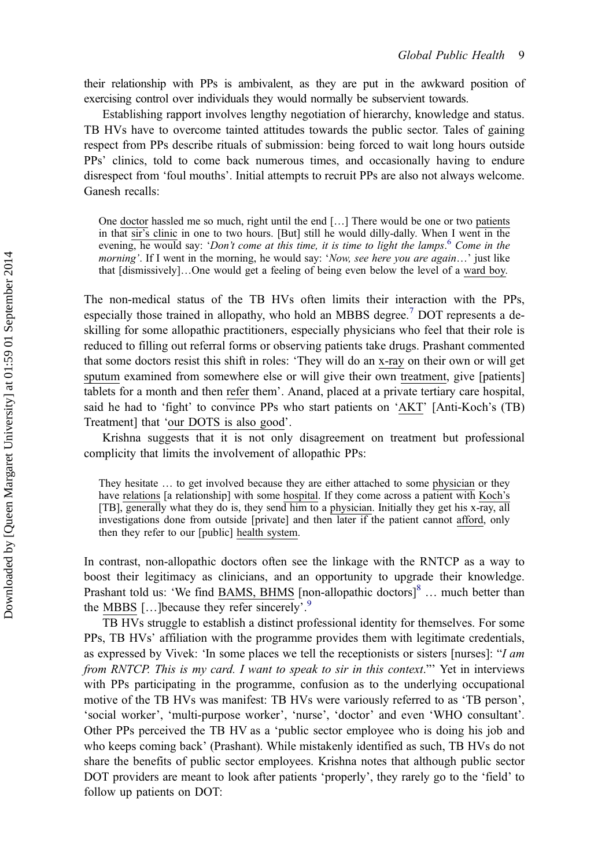their relationship with PPs is ambivalent, as they are put in the awkward position of exercising control over individuals they would normally be subservient towards.

Establishing rapport involves lengthy negotiation of hierarchy, knowledge and status. TB HVs have to overcome tainted attitudes towards the public sector. Tales of gaining respect from PPs describe rituals of submission: being forced to wait long hours outside PPs' clinics, told to come back numerous times, and occasionally having to endure disrespect from 'foul mouths'. Initial attempts to recruit PPs are also not always welcome. Ganesh recalls:

One doctor hassled me so much, right until the end […] There would be one or two patients in that sir's clinic in one to two hours. [But] still he would dilly-dally. When I went in the evening, he would say: 'Don't come at this time, it is time to light the lamps.<sup>[6](#page-18-0)</sup> Come in the morning'. If I went in the morning, he would say: 'Now, see here you are again...' just like that [dismissively]…One would get a feeling of being even below the level of a ward boy.

The non-medical status of the TB HVs often limits their interaction with the PPs, especially those trained in allopathy, who hold an MBBS degree.<sup>[7](#page-18-0)</sup> DOT represents a deskilling for some allopathic practitioners, especially physicians who feel that their role is reduced to filling out referral forms or observing patients take drugs. Prashant commented that some doctors resist this shift in roles: 'They will do an x-ray on their own or will get sputum examined from somewhere else or will give their own treatment, give [patients] tablets for a month and then refer them'. Anand, placed at a private tertiary care hospital, said he had to 'fight' to convince PPs who start patients on 'AKT' [Anti-Koch's (TB) Treatment] that 'our DOTS is also good'.

Krishna suggests that it is not only disagreement on treatment but professional complicity that limits the involvement of allopathic PPs:

They hesitate … to get involved because they are either attached to some physician or they have relations [a relationship] with some hospital. If they come across a patient with Koch's [TB], generally what they do is, they send him to a physician. Initially they get his x-ray, all investigations done from outside [private] and then later if the patient cannot afford, only then they refer to our [public] health system.

In contrast, non-allopathic doctors often see the linkage with the RNTCP as a way to boost their legitimacy as clinicians, and an opportunity to upgrade their knowledge. Prashant told us: 'We find BAMS, BHMS [non-allopathic doctors]<sup>[8](#page-18-0)</sup> ... much better than the MBBS [...] because they refer sincerely'.<sup>[9](#page-18-0)</sup>

TB HVs struggle to establish a distinct professional identity for themselves. For some PPs, TB HVs' affiliation with the programme provides them with legitimate credentials, as expressed by Vivek: 'In some places we tell the receptionists or sisters [nurses]: "I am from RNTCP. This is my card. I want to speak to sir in this context."' Yet in interviews with PPs participating in the programme, confusion as to the underlying occupational motive of the TB HVs was manifest: TB HVs were variously referred to as 'TB person', 'social worker', 'multi-purpose worker', 'nurse', 'doctor' and even 'WHO consultant'. Other PPs perceived the TB HV as a 'public sector employee who is doing his job and who keeps coming back' (Prashant). While mistakenly identified as such, TB HVs do not share the benefits of public sector employees. Krishna notes that although public sector DOT providers are meant to look after patients 'properly', they rarely go to the 'field' to follow up patients on DOT: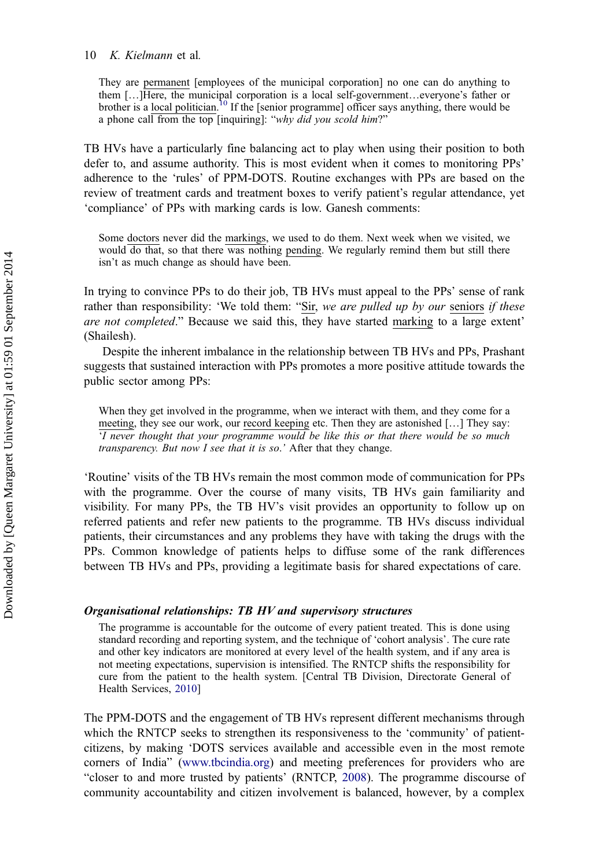#### 10 K. Kielmann et al.

They are permanent [employees of the municipal corporation] no one can do anything to them […]Here, the municipal corporation is a local self-government…everyone's father or brother is a local politician.<sup>[10](#page-18-0)</sup> If the [senior programme] officer says anything, there would be a phone call from the top [inquiring]: "why did you scold him?"

TB HVs have a particularly fine balancing act to play when using their position to both defer to, and assume authority. This is most evident when it comes to monitoring PPs' adherence to the 'rules' of PPM-DOTS. Routine exchanges with PPs are based on the review of treatment cards and treatment boxes to verify patient's regular attendance, yet 'compliance' of PPs with marking cards is low. Ganesh comments:

Some doctors never did the markings, we used to do them. Next week when we visited, we would do that, so that there was nothing pending. We regularly remind them but still there isn't as much change as should have been.

In trying to convince PPs to do their job, TB HVs must appeal to the PPs' sense of rank rather than responsibility: 'We told them: "Sir, we are pulled up by our seniors if these are not completed." Because we said this, they have started marking to a large extent' (Shailesh).

Despite the inherent imbalance in the relationship between TB HVs and PPs, Prashant suggests that sustained interaction with PPs promotes a more positive attitude towards the public sector among PPs:

When they get involved in the programme, when we interact with them, and they come for a meeting, they see our work, our record keeping etc. Then they are astonished […] They say: 'I never thought that your programme would be like this or that there would be so much transparency. But now I see that it is so.' After that they change.

'Routine' visits of the TB HVs remain the most common mode of communication for PPs with the programme. Over the course of many visits, TB HVs gain familiarity and visibility. For many PPs, the TB HV's visit provides an opportunity to follow up on referred patients and refer new patients to the programme. TB HVs discuss individual patients, their circumstances and any problems they have with taking the drugs with the PPs. Common knowledge of patients helps to diffuse some of the rank differences between TB HVs and PPs, providing a legitimate basis for shared expectations of care.

## Organisational relationships: TB HV and supervisory structures

The programme is accountable for the outcome of every patient treated. This is done using standard recording and reporting system, and the technique of 'cohort analysis'. The cure rate and other key indicators are monitored at every level of the health system, and if any area is not meeting expectations, supervision is intensified. The RNTCP shifts the responsibility for cure from the patient to the health system. [Central TB Division, Directorate General of Health Services, [2010\]](#page-18-0)

The PPM-DOTS and the engagement of TB HVs represent different mechanisms through which the RNTCP seeks to strengthen its responsiveness to the 'community' of patientcitizens, by making 'DOTS services available and accessible even in the most remote corners of India" ([www.tbcindia.org\)](http://www.tbcindia.org) and meeting preferences for providers who are "closer to and more trusted by patients' (RNTCP, [2008](#page-20-0)). The programme discourse of community accountability and citizen involvement is balanced, however, by a complex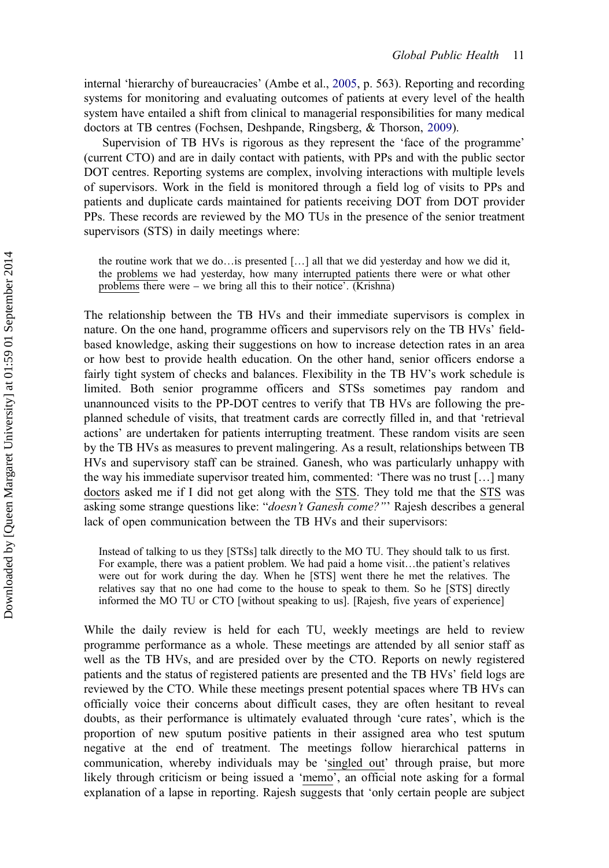internal 'hierarchy of bureaucracies' (Ambe et al., [2005](#page-18-0), p. 563). Reporting and recording systems for monitoring and evaluating outcomes of patients at every level of the health system have entailed a shift from clinical to managerial responsibilities for many medical doctors at TB centres (Fochsen, Deshpande, Ringsberg, & Thorson, [2009](#page-19-0)).

Supervision of TB HVs is rigorous as they represent the 'face of the programme' (current CTO) and are in daily contact with patients, with PPs and with the public sector DOT centres. Reporting systems are complex, involving interactions with multiple levels of supervisors. Work in the field is monitored through a field log of visits to PPs and patients and duplicate cards maintained for patients receiving DOT from DOT provider PPs. These records are reviewed by the MO TUs in the presence of the senior treatment supervisors (STS) in daily meetings where:

the routine work that we do…is presented […] all that we did yesterday and how we did it, the problems we had yesterday, how many interrupted patients there were or what other problems there were – we bring all this to their notice'. (Krishna)

The relationship between the TB HVs and their immediate supervisors is complex in nature. On the one hand, programme officers and supervisors rely on the TB HVs' fieldbased knowledge, asking their suggestions on how to increase detection rates in an area or how best to provide health education. On the other hand, senior officers endorse a fairly tight system of checks and balances. Flexibility in the TB HV's work schedule is limited. Both senior programme officers and STSs sometimes pay random and unannounced visits to the PP-DOT centres to verify that TB HVs are following the preplanned schedule of visits, that treatment cards are correctly filled in, and that 'retrieval actions' are undertaken for patients interrupting treatment. These random visits are seen by the TB HVs as measures to prevent malingering. As a result, relationships between TB HVs and supervisory staff can be strained. Ganesh, who was particularly unhappy with the way his immediate supervisor treated him, commented: 'There was no trust […] many doctors asked me if I did not get along with the STS. They told me that the STS was asking some strange questions like: "doesn't Ganesh come?"' Rajesh describes a general lack of open communication between the TB HVs and their supervisors:

Instead of talking to us they [STSs] talk directly to the MO TU. They should talk to us first. For example, there was a patient problem. We had paid a home visit…the patient's relatives were out for work during the day. When he [STS] went there he met the relatives. The relatives say that no one had come to the house to speak to them. So he [STS] directly informed the MO TU or CTO [without speaking to us]. [Rajesh, five years of experience]

While the daily review is held for each TU, weekly meetings are held to review programme performance as a whole. These meetings are attended by all senior staff as well as the TB HVs, and are presided over by the CTO. Reports on newly registered patients and the status of registered patients are presented and the TB HVs' field logs are reviewed by the CTO. While these meetings present potential spaces where TB HVs can officially voice their concerns about difficult cases, they are often hesitant to reveal doubts, as their performance is ultimately evaluated through 'cure rates', which is the proportion of new sputum positive patients in their assigned area who test sputum negative at the end of treatment. The meetings follow hierarchical patterns in communication, whereby individuals may be 'singled out' through praise, but more likely through criticism or being issued a 'memo', an official note asking for a formal explanation of a lapse in reporting. Rajesh suggests that 'only certain people are subject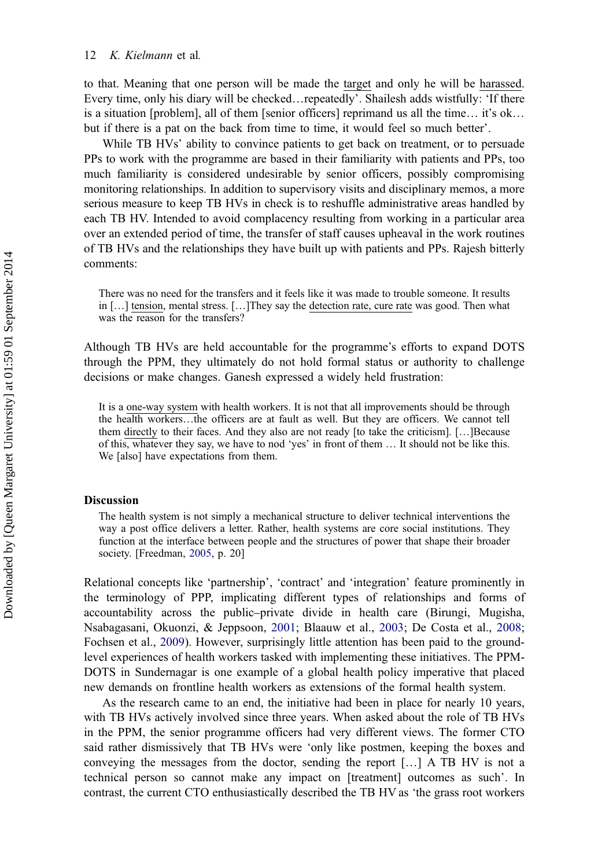to that. Meaning that one person will be made the target and only he will be harassed. Every time, only his diary will be checked…repeatedly'. Shailesh adds wistfully: 'If there is a situation [problem], all of them [senior officers] reprimand us all the time… it's ok… but if there is a pat on the back from time to time, it would feel so much better'.

While TB HVs' ability to convince patients to get back on treatment, or to persuade PPs to work with the programme are based in their familiarity with patients and PPs, too much familiarity is considered undesirable by senior officers, possibly compromising monitoring relationships. In addition to supervisory visits and disciplinary memos, a more serious measure to keep TB HVs in check is to reshuffle administrative areas handled by each TB HV. Intended to avoid complacency resulting from working in a particular area over an extended period of time, the transfer of staff causes upheaval in the work routines of TB HVs and the relationships they have built up with patients and PPs. Rajesh bitterly comments:

There was no need for the transfers and it feels like it was made to trouble someone. It results in […] tension, mental stress. […]They say the detection rate, cure rate was good. Then what was the reason for the transfers?

Although TB HVs are held accountable for the programme's efforts to expand DOTS through the PPM, they ultimately do not hold formal status or authority to challenge decisions or make changes. Ganesh expressed a widely held frustration:

It is a one-way system with health workers. It is not that all improvements should be through the health workers…the officers are at fault as well. But they are officers. We cannot tell them directly to their faces. And they also are not ready [to take the criticism]. […]Because of this, whatever they say, we have to nod 'yes' in front of them … It should not be like this. We [also] have expectations from them.

#### **Discussion**

The health system is not simply a mechanical structure to deliver technical interventions the way a post office delivers a letter. Rather, health systems are core social institutions. They function at the interface between people and the structures of power that shape their broader society. [Freedman, [2005](#page-19-0), p. 20]

Relational concepts like 'partnership', 'contract' and 'integration' feature prominently in the terminology of PPP, implicating different types of relationships and forms of accountability across the public–private divide in health care (Birungi, Mugisha, Nsabagasani, Okuonzi, & Jeppsoon, [2001;](#page-18-0) Blaauw et al., [2003](#page-18-0); De Costa et al., [2008](#page-18-0); Fochsen et al., [2009\)](#page-19-0). However, surprisingly little attention has been paid to the groundlevel experiences of health workers tasked with implementing these initiatives. The PPM-DOTS in Sundernagar is one example of a global health policy imperative that placed new demands on frontline health workers as extensions of the formal health system.

As the research came to an end, the initiative had been in place for nearly 10 years, with TB HVs actively involved since three years. When asked about the role of TB HVs in the PPM, the senior programme officers had very different views. The former CTO said rather dismissively that TB HVs were 'only like postmen, keeping the boxes and conveying the messages from the doctor, sending the report […] A TB HV is not a technical person so cannot make any impact on [treatment] outcomes as such'. In contrast, the current CTO enthusiastically described the TB HV as 'the grass root workers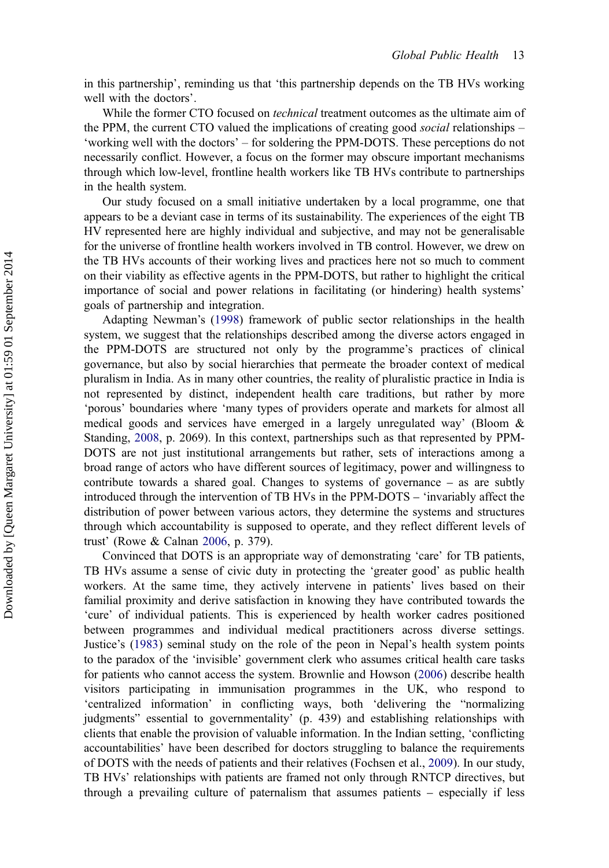in this partnership', reminding us that 'this partnership depends on the TB HVs working well with the doctors'.

While the former CTO focused on *technical* treatment outcomes as the ultimate aim of the PPM, the current CTO valued the implications of creating good *social* relationships – 'working well with the doctors' – for soldering the PPM-DOTS. These perceptions do not necessarily conflict. However, a focus on the former may obscure important mechanisms through which low-level, frontline health workers like TB HVs contribute to partnerships in the health system.

Our study focused on a small initiative undertaken by a local programme, one that appears to be a deviant case in terms of its sustainability. The experiences of the eight TB HV represented here are highly individual and subjective, and may not be generalisable for the universe of frontline health workers involved in TB control. However, we drew on the TB HVs accounts of their working lives and practices here not so much to comment on their viability as effective agents in the PPM-DOTS, but rather to highlight the critical importance of social and power relations in facilitating (or hindering) health systems' goals of partnership and integration.

Adapting Newman's ([1998\)](#page-20-0) framework of public sector relationships in the health system, we suggest that the relationships described among the diverse actors engaged in the PPM-DOTS are structured not only by the programme's practices of clinical governance, but also by social hierarchies that permeate the broader context of medical pluralism in India. As in many other countries, the reality of pluralistic practice in India is not represented by distinct, independent health care traditions, but rather by more 'porous' boundaries where 'many types of providers operate and markets for almost all medical goods and services have emerged in a largely unregulated way' (Bloom & Standing, [2008,](#page-18-0) p. 2069). In this context, partnerships such as that represented by PPM-DOTS are not just institutional arrangements but rather, sets of interactions among a broad range of actors who have different sources of legitimacy, power and willingness to contribute towards a shared goal. Changes to systems of governance – as are subtly introduced through the intervention of TB HVs in the PPM-DOTS – 'invariably affect the distribution of power between various actors, they determine the systems and structures through which accountability is supposed to operate, and they reflect different levels of trust' (Rowe & Calnan [2006](#page-20-0), p. 379).

Convinced that DOTS is an appropriate way of demonstrating 'care' for TB patients, TB HVs assume a sense of civic duty in protecting the 'greater good' as public health workers. At the same time, they actively intervene in patients' lives based on their familial proximity and derive satisfaction in knowing they have contributed towards the 'cure' of individual patients. This is experienced by health worker cadres positioned between programmes and individual medical practitioners across diverse settings. Justice's ([1983\)](#page-19-0) seminal study on the role of the peon in Nepal's health system points to the paradox of the 'invisible' government clerk who assumes critical health care tasks for patients who cannot access the system. Brownlie and Howson ([2006\)](#page-18-0) describe health visitors participating in immunisation programmes in the UK, who respond to 'centralized information' in conflicting ways, both 'delivering the "normalizing judgments" essential to governmentality' (p. 439) and establishing relationships with clients that enable the provision of valuable information. In the Indian setting, 'conflicting accountabilities' have been described for doctors struggling to balance the requirements of DOTS with the needs of patients and their relatives (Fochsen et al., [2009](#page-19-0)). In our study, TB HVs' relationships with patients are framed not only through RNTCP directives, but through a prevailing culture of paternalism that assumes patients – especially if less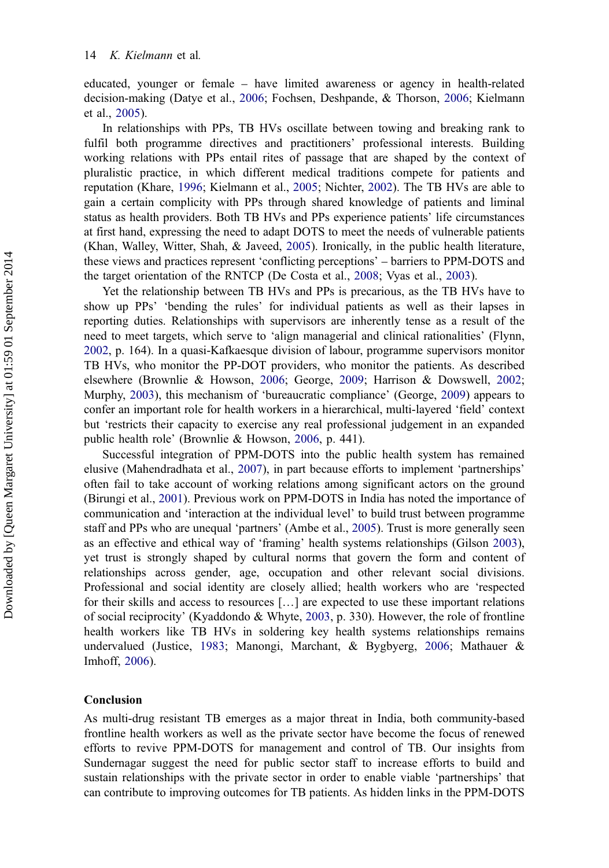educated, younger or female – have limited awareness or agency in health-related decision-making (Datye et al., [2006](#page-18-0); Fochsen, Deshpande, & Thorson, [2006;](#page-19-0) Kielmann et al., [2005\)](#page-19-0).

In relationships with PPs, TB HVs oscillate between towing and breaking rank to fulfil both programme directives and practitioners' professional interests. Building working relations with PPs entail rites of passage that are shaped by the context of pluralistic practice, in which different medical traditions compete for patients and reputation (Khare, [1996](#page-19-0); Kielmann et al., [2005;](#page-19-0) Nichter, [2002](#page-20-0)). The TB HVs are able to gain a certain complicity with PPs through shared knowledge of patients and liminal status as health providers. Both TB HVs and PPs experience patients' life circumstances at first hand, expressing the need to adapt DOTS to meet the needs of vulnerable patients (Khan, Walley, Witter, Shah, & Javeed, [2005](#page-19-0)). Ironically, in the public health literature, these views and practices represent 'conflicting perceptions' – barriers to PPM-DOTS and the target orientation of the RNTCP (De Costa et al., [2008;](#page-18-0) Vyas et al., [2003](#page-20-0)).

Yet the relationship between TB HVs and PPs is precarious, as the TB HVs have to show up PPs' 'bending the rules' for individual patients as well as their lapses in reporting duties. Relationships with supervisors are inherently tense as a result of the need to meet targets, which serve to 'align managerial and clinical rationalities' (Flynn, [2002,](#page-19-0) p. 164). In a quasi-Kafkaesque division of labour, programme supervisors monitor TB HVs, who monitor the PP-DOT providers, who monitor the patients. As described elsewhere (Brownlie & Howson, [2006;](#page-18-0) George, [2009;](#page-19-0) Harrison & Dowswell, [2002](#page-19-0); Murphy, [2003](#page-20-0)), this mechanism of 'bureaucratic compliance' (George, [2009](#page-19-0)) appears to confer an important role for health workers in a hierarchical, multi-layered 'field' context but 'restricts their capacity to exercise any real professional judgement in an expanded public health role' (Brownlie & Howson, [2006,](#page-18-0) p. 441).

Successful integration of PPM-DOTS into the public health system has remained elusive (Mahendradhata et al., [2007\)](#page-19-0), in part because efforts to implement 'partnerships' often fail to take account of working relations among significant actors on the ground (Birungi et al., [2001\)](#page-18-0). Previous work on PPM-DOTS in India has noted the importance of communication and 'interaction at the individual level' to build trust between programme staff and PPs who are unequal 'partners' (Ambe et al., [2005](#page-18-0)). Trust is more generally seen as an effective and ethical way of 'framing' health systems relationships (Gilson [2003](#page-19-0)), yet trust is strongly shaped by cultural norms that govern the form and content of relationships across gender, age, occupation and other relevant social divisions. Professional and social identity are closely allied; health workers who are 'respected for their skills and access to resources […] are expected to use these important relations of social reciprocity' (Kyaddondo & Whyte, [2003,](#page-19-0) p. 330). However, the role of frontline health workers like TB HVs in soldering key health systems relationships remains undervalued (Justice, [1983](#page-19-0); Manongi, Marchant, & Bygbyerg, [2006](#page-20-0); Mathauer & Imhoff, [2006](#page-20-0)).

# Conclusion

As multi-drug resistant TB emerges as a major threat in India, both community-based frontline health workers as well as the private sector have become the focus of renewed efforts to revive PPM-DOTS for management and control of TB. Our insights from Sundernagar suggest the need for public sector staff to increase efforts to build and sustain relationships with the private sector in order to enable viable 'partnerships' that can contribute to improving outcomes for TB patients. As hidden links in the PPM-DOTS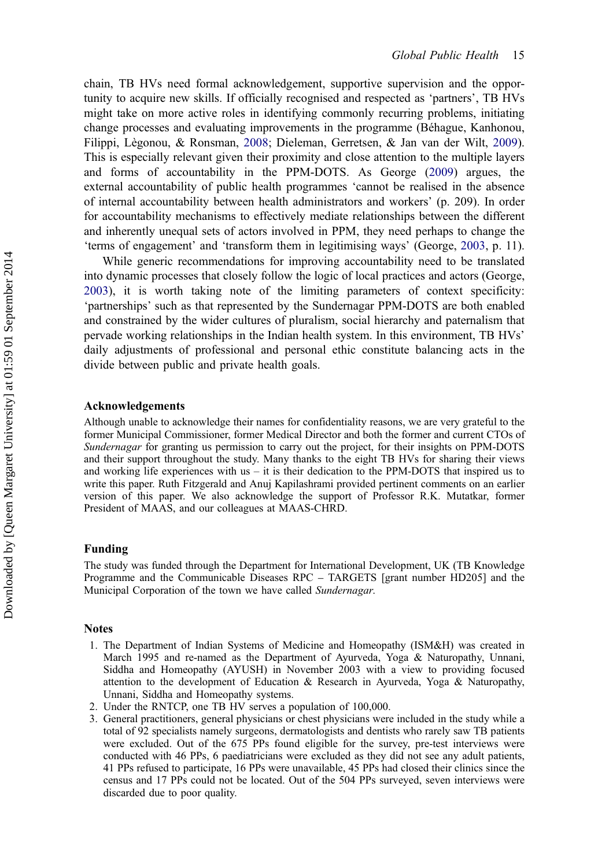<span id="page-17-0"></span>chain, TB HVs need formal acknowledgement, supportive supervision and the opportunity to acquire new skills. If officially recognised and respected as 'partners', TB HVs might take on more active roles in identifying commonly recurring problems, initiating change processes and evaluating improvements in the programme (Béhague, Kanhonou, Filippi, Lègonou, & Ronsman, [2008](#page-18-0); Dieleman, Gerretsen, & Jan van der Wilt, [2009](#page-19-0)). This is especially relevant given their proximity and close attention to the multiple layers and forms of accountability in the PPM-DOTS. As George ([2009\)](#page-19-0) argues, the external accountability of public health programmes 'cannot be realised in the absence of internal accountability between health administrators and workers' (p. 209). In order for accountability mechanisms to effectively mediate relationships between the different and inherently unequal sets of actors involved in PPM, they need perhaps to change the 'terms of engagement' and 'transform them in legitimising ways' (George, [2003](#page-19-0), p. 11).

While generic recommendations for improving accountability need to be translated into dynamic processes that closely follow the logic of local practices and actors (George, [2003\)](#page-19-0), it is worth taking note of the limiting parameters of context specificity: 'partnerships' such as that represented by the Sundernagar PPM-DOTS are both enabled and constrained by the wider cultures of pluralism, social hierarchy and paternalism that pervade working relationships in the Indian health system. In this environment, TB HVs' daily adjustments of professional and personal ethic constitute balancing acts in the divide between public and private health goals.

## Acknowledgements

Although unable to acknowledge their names for confidentiality reasons, we are very grateful to the former Municipal Commissioner, former Medical Director and both the former and current CTOs of Sundernagar for granting us permission to carry out the project, for their insights on PPM-DOTS and their support throughout the study. Many thanks to the eight TB HVs for sharing their views and working life experiences with us – it is their dedication to the PPM-DOTS that inspired us to write this paper. Ruth Fitzgerald and Anuj Kapilashrami provided pertinent comments on an earlier version of this paper. We also acknowledge the support of Professor R.K. Mutatkar, former President of MAAS, and our colleagues at MAAS-CHRD.

#### Funding

The study was funded through the Department for International Development, UK (TB Knowledge Programme and the Communicable Diseases RPC – TARGETS [grant number HD205] and the Municipal Corporation of the town we have called Sundernagar.

#### **Notes**

- 1. The Department of Indian Systems of Medicine and Homeopathy (ISM&H) was created in March 1995 and re-named as the Department of Ayurveda, Yoga & Naturopathy, Unnani, Siddha and Homeopathy (AYUSH) in November 2003 with a view to providing focused attention to the development of Education & Research in Ayurveda, Yoga & Naturopathy, Unnani, Siddha and Homeopathy systems.
- 2. Under the RNTCP, one TB HV serves a population of 100,000.
- 3. General practitioners, general physicians or chest physicians were included in the study while a total of 92 specialists namely surgeons, dermatologists and dentists who rarely saw TB patients were excluded. Out of the 675 PPs found eligible for the survey, pre-test interviews were conducted with 46 PPs, 6 paediatricians were excluded as they did not see any adult patients, 41 PPs refused to participate, 16 PPs were unavailable, 45 PPs had closed their clinics since the census and 17 PPs could not be located. Out of the 504 PPs surveyed, seven interviews were discarded due to poor quality.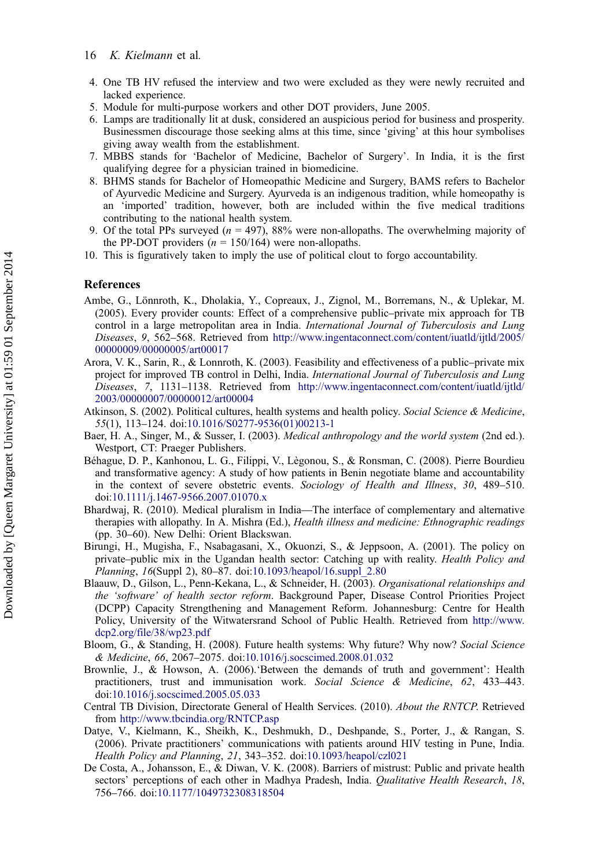## <span id="page-18-0"></span>16 K. Kielmann et al.

- 4. One TB HV refused the interview and two were excluded as they were newly recruited and lacked experience.
- 5. Module for multi-purpose workers and other DOT providers, June 2005.
- 6. Lamps are traditionally lit at dusk, considered an auspicious period for business and prosperity. Businessmen discourage those seeking alms at this time, since 'giving' at this hour symbolises giving away wealth from the establishment.
- 7. MBBS stands for 'Bachelor of Medicine, Bachelor of Surgery'. In India, it is the first qualifying degree for a physician trained in biomedicine.
- 8. BHMS stands for Bachelor of Homeopathic Medicine and Surgery, BAMS refers to Bachelor of Ayurvedic Medicine and Surgery. Ayurveda is an indigenous tradition, while homeopathy is an 'imported' tradition, however, both are included within the five medical traditions contributing to the national health system.
- 9. Of the total PPs surveyed ( $n = 497$ ), 88% were non-allopaths. The overwhelming majority of the PP-DOT providers  $(n = 150/164)$  were non-allopaths.
- 10. This is figuratively taken to imply the use of political clout to forgo accountability.

#### References

- Ambe, G., Lönnroth, K., Dholakia, Y., Copreaux, J., Zignol, M., Borremans, N., & Uplekar, M. (2005). Every provider counts: Effect of a comprehensive public–private mix approach for TB control in a large metropolitan area in India. International Journal of Tuberculosis and Lung Diseases, 9, 562–568. Retrieved from [http://www.ingentaconnect.com/content/iuatld/ijtld/2005/](http://www.ingentaconnect.com/content/iuatld/ijtld/2005/00000009/00000005/art00017) [00000009/00000005/art00017](http://www.ingentaconnect.com/content/iuatld/ijtld/2005/00000009/00000005/art00017)
- Arora, V. K., Sarin, R., & Lonnroth, K. (2003). Feasibility and effectiveness of a public–private mix project for improved TB control in Delhi, India. International Journal of Tuberculosis and Lung Diseases, 7, 1131–1138. Retrieved from [http://www.ingentaconnect.com/content/iuatld/ijtld/](http://www.ingentaconnect.com/content/iuatld/ijtld/2003/00000007/00000012/art00004) [2003/00000007/00000012/art00004](http://www.ingentaconnect.com/content/iuatld/ijtld/2003/00000007/00000012/art00004)
- Atkinson, S. (2002). Political cultures, health systems and health policy. Social Science & Medicine, 55(1), 113–124. doi:[10.1016/S0277-9536\(01\)00213-1](http://dx.doi.org/10.1016/S0277-9536(01)00213-1)
- Baer, H. A., Singer, M., & Susser, I. (2003). Medical anthropology and the world system (2nd ed.). Westport, CT: Praeger Publishers.
- Béhague, D. P., Kanhonou, L. G., Filippi, V., Lègonou, S., & Ronsman, C. (2008). Pierre Bourdieu and transformative agency: A study of how patients in Benin negotiate blame and accountability in the context of severe obstetric events. Sociology of Health and Illness, 30, 489–510. doi:[10.1111/j.1467-9566.2007.01070.x](http://dx.doi.org/10.1111/j.1467-9566.2007.01070.x)
- Bhardwaj, R. (2010). Medical pluralism in India—The interface of complementary and alternative therapies with allopathy. In A. Mishra (Ed.), Health illness and medicine: Ethnographic readings (pp. 30–60). New Delhi: Orient Blackswan.
- Birungi, H., Mugisha, F., Nsabagasani, X., Okuonzi, S., & Jeppsoon, A. (2001). The policy on private–public mix in the Ugandan health sector: Catching up with reality. Health Policy and Planning, 16(Suppl 2), 80–87. doi:[10.1093/heapol/16.suppl\\_2.80](http://dx.doi.org/10.1093/heapol/16.suppl_2.80)
- Blaauw, D., Gilson, L., Penn-Kekana, L., & Schneider, H. (2003). Organisational relationships and the 'software' of health sector reform. Background Paper, Disease Control Priorities Project (DCPP) Capacity Strengthening and Management Reform. Johannesburg: Centre for Health Policy, University of the Witwatersrand School of Public Health. Retrieved from [http://www.](http://www.dcp2.org/file/38/wp23.pdf) [dcp2.org/file/38/wp23.pdf](http://www.dcp2.org/file/38/wp23.pdf)
- Bloom, G., & Standing, H. (2008). Future health systems: Why future? Why now? Social Science & Medicine, 66, 2067–2075. doi:[10.1016/j.socscimed.2008.01.032](http://dx.doi.org/10.1016/j.socscimed.2008.01.032)
- Brownlie, J., & Howson, A. (2006).'Between the demands of truth and government': Health practitioners, trust and immunisation work. Social Science & Medicine, 62, 433–443. doi:[10.1016/j.socscimed.2005.05.033](http://dx.doi.org/10.1016/j.socscimed.2005.05.033)
- Central TB Division, Directorate General of Health Services. (2010). About the RNTCP. Retrieved from <http://www.tbcindia.org/RNTCP.asp>
- Datye, V., Kielmann, K., Sheikh, K., Deshmukh, D., Deshpande, S., Porter, J., & Rangan, S. (2006). Private practitioners' communications with patients around HIV testing in Pune, India. Health Policy and Planning, 21, 343–352. doi:[10.1093/heapol/czl021](http://dx.doi.org/10.1093/heapol/czl021)
- De Costa, A., Johansson, E., & Diwan, V. K. (2008). Barriers of mistrust: Public and private health sectors' perceptions of each other in Madhya Pradesh, India. *Qualitative Health Research*, 18, 756–766. doi[:10.1177/1049732308318504](http://dx.doi.org/10.1177/1049732308318504)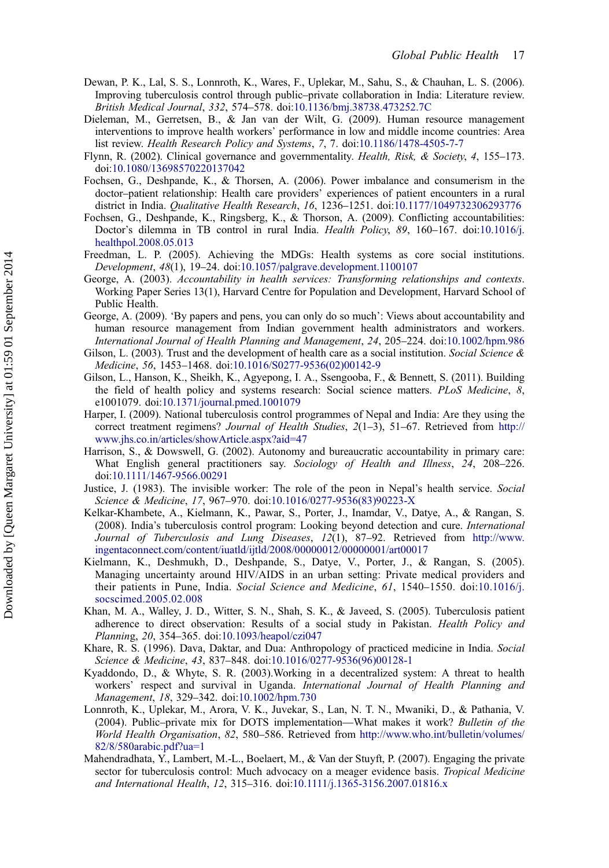- <span id="page-19-0"></span>Dewan, P. K., Lal, S. S., Lonnroth, K., Wares, F., Uplekar, M., Sahu, S., & Chauhan, L. S. (2006). Improving tuberculosis control through public–private collaboration in India: Literature review. British Medical Journal, 332, 574–578. doi[:10.1136/bmj.38738.473252.7C](http://dx.doi.org/10.1136/bmj.38738.473252.7C)
- Dieleman, M., Gerretsen, B., & Jan van der Wilt, G. (2009). Human resource management interventions to improve health workers' performance in low and middle income countries: Area list review. Health Research Policy and Systems, 7, 7. doi[:10.1186/1478-4505-7-7](http://dx.doi.org/10.1186/1478-4505-7-7)
- Flynn, R. (2002). Clinical governance and governmentality. Health, Risk, & Society, 4, 155–173. doi:[10.1080/13698570220137042](http://dx.doi.org/10.1080/13698570220137042)
- Fochsen, G., Deshpande, K., & Thorsen, A. (2006). Power imbalance and consumerism in the doctor–patient relationship: Health care providers' experiences of patient encounters in a rural district in India. Qualitative Health Research, 16, 1236-1251. doi[:10.1177/1049732306293776](http://dx.doi.org/10.1177/1049732306293776)
- Fochsen, G., Deshpande, K., Ringsberg, K., & Thorson, A. (2009). Conflicting accountabilities: Doctor's dilemma in TB control in rural India. Health Policy, 89, 160-167. doi:[10.1016/j.](http://dx.doi.org/10.1016/j.healthpol.2008.05.013) [healthpol.2008.05.013](http://dx.doi.org/10.1016/j.healthpol.2008.05.013)
- Freedman, L. P. (2005). Achieving the MDGs: Health systems as core social institutions. Development, 48(1), 19–24. doi:[10.1057/palgrave.development.1100107](http://dx.doi.org/10.1057/palgrave.development.1100107)
- George, A. (2003). Accountability in health services: Transforming relationships and contexts. Working Paper Series 13(1), Harvard Centre for Population and Development, Harvard School of Public Health.
- George, A. (2009). 'By papers and pens, you can only do so much': Views about accountability and human resource management from Indian government health administrators and workers. International Journal of Health Planning and Management, 24, 205–224. doi[:10.1002/hpm.986](http://dx.doi.org/10.1002/hpm.986)
- Gilson, L. (2003). Trust and the development of health care as a social institution. Social Science & Medicine, 56, 1453–1468. doi:[10.1016/S0277-9536\(02\)00142-9](http://dx.doi.org/10.1016/S0277-9536(02)00142-9)
- Gilson, L., Hanson, K., Sheikh, K., Agyepong, I. A., Ssengooba, F., & Bennett, S. (2011). Building the field of health policy and systems research: Social science matters. PLoS Medicine, 8, e1001079. doi[:10.1371/journal.pmed.1001079](http://dx.doi.org/10.1371/journal.pmed.1001079)
- Harper, I. (2009). National tuberculosis control programmes of Nepal and India: Are they using the correct treatment regimens? Journal of Health Studies, 2(1-3), 51-67. Retrieved from [http://](http://www.jhs.co.in/articles/showArticle.aspx?aid=47) [www.jhs.co.in/articles/showArticle.aspx?aid=47](http://www.jhs.co.in/articles/showArticle.aspx?aid=47)
- Harrison, S., & Dowswell, G. (2002). Autonomy and bureaucratic accountability in primary care: What English general practitioners say. Sociology of Health and Illness, 24, 208–226. doi:[10.1111/1467-9566.00291](http://dx.doi.org/10.1111/1467-9566.00291)
- Justice, J. (1983). The invisible worker: The role of the peon in Nepal's health service. Social Science & Medicine, 17, 967–970. doi:[10.1016/0277-9536\(83\)90223-X](http://dx.doi.org/10.1016/0277-9536(83)90223-X)
- Kelkar-Khambete, A., Kielmann, K., Pawar, S., Porter, J., Inamdar, V., Datye, A., & Rangan, S. (2008). India's tuberculosis control program: Looking beyond detection and cure. International Journal of Tuberculosis and Lung Diseases, 12(1), 87–92. Retrieved from [http://www.](http://www.ingentaconnect.com/content/iuatld/ijtld/2008/00000012/00000001/art00017) [ingentaconnect.com/content/iuatld/ijtld/2008/00000012/00000001/art00017](http://www.ingentaconnect.com/content/iuatld/ijtld/2008/00000012/00000001/art00017)
- Kielmann, K., Deshmukh, D., Deshpande, S., Datye, V., Porter, J., & Rangan, S. (2005). Managing uncertainty around HIV/AIDS in an urban setting: Private medical providers and their patients in Pune, India. Social Science and Medicine, 61, 1540–1550. doi[:10.1016/j.](http://dx.doi.org/10.1016/j.socscimed.2005.02.008) [socscimed.2005.02.008](http://dx.doi.org/10.1016/j.socscimed.2005.02.008)
- Khan, M. A., Walley, J. D., Witter, S. N., Shah, S. K., & Javeed, S. (2005). Tuberculosis patient adherence to direct observation: Results of a social study in Pakistan. Health Policy and Planning, 20, 354–365. doi:[10.1093/heapol/czi047](http://dx.doi.org/10.1093/heapol/czi047)
- Khare, R. S. (1996). Dava, Daktar, and Dua: Anthropology of practiced medicine in India. Social Science & Medicine, 43, 837–848. doi:[10.1016/0277-9536\(96\)00128-1](http://dx.doi.org/10.1016/0277-9536(96)00128-1)
- Kyaddondo, D., & Whyte, S. R. (2003).Working in a decentralized system: A threat to health workers' respect and survival in Uganda. International Journal of Health Planning and Management, 18, 329–342. doi[:10.1002/hpm.730](http://dx.doi.org/10.1002/hpm.730)
- Lonnroth, K., Uplekar, M., Arora, V. K., Juvekar, S., Lan, N. T. N., Mwaniki, D., & Pathania, V. (2004). Public–private mix for DOTS implementation—What makes it work? Bulletin of the World Health Organisation, 82, 580–586. Retrieved from [http://www.who.int/bulletin/volumes/](http://www.who.int/bulletin/volumes/82/8/580arabic.pdf?ua=1) [82/8/580arabic.pdf?ua=1](http://www.who.int/bulletin/volumes/82/8/580arabic.pdf?ua=1)
- Mahendradhata, Y., Lambert, M.-L., Boelaert, M., & Van der Stuyft, P. (2007). Engaging the private sector for tuberculosis control: Much advocacy on a meager evidence basis. Tropical Medicine and International Health, 12, 315–316. doi[:10.1111/j.1365-3156.2007.01816.x](http://dx.doi.org/10.1111/j.1365-3156.2007.01816.x)